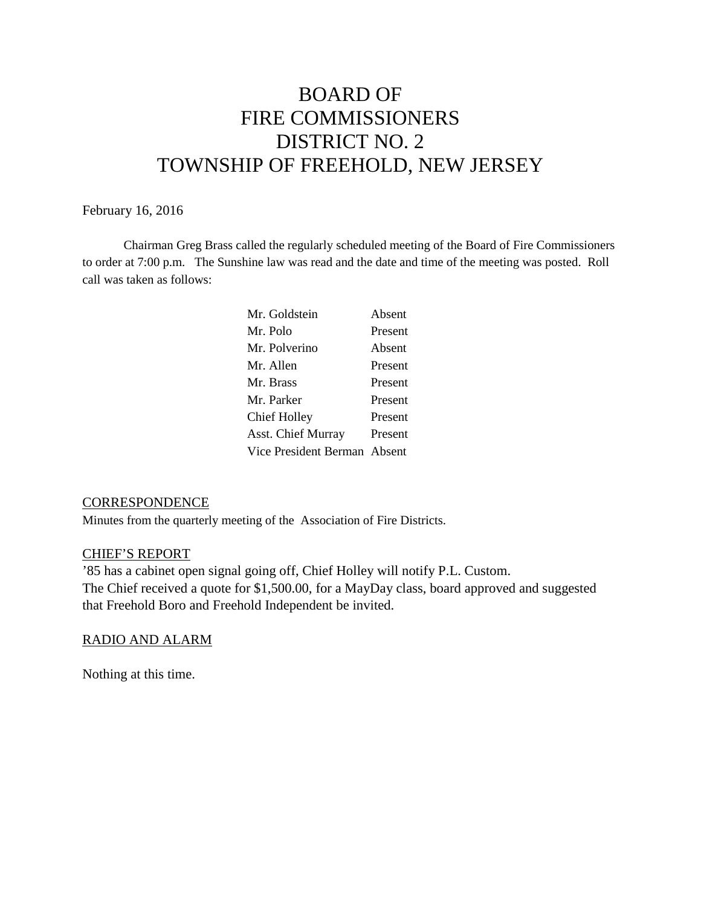# BOARD OF FIRE COMMISSIONERS DISTRICT NO. 2 TOWNSHIP OF FREEHOLD, NEW JERSEY

## February 16, 2016

Chairman Greg Brass called the regularly scheduled meeting of the Board of Fire Commissioners to order at 7:00 p.m. The Sunshine law was read and the date and time of the meeting was posted. Roll call was taken as follows:

| Mr. Goldstein                | Absent  |
|------------------------------|---------|
| Mr. Polo                     | Present |
| Mr. Polverino                | Absent  |
| Mr. Allen                    | Present |
| Mr. Brass                    | Present |
| Mr. Parker                   | Present |
| <b>Chief Holley</b>          | Present |
| <b>Asst. Chief Murray</b>    | Present |
| Vice President Berman Absent |         |
|                              |         |

## **CORRESPONDENCE**

Minutes from the quarterly meeting of the Association of Fire Districts.

## CHIEF'S REPORT

'85 has a cabinet open signal going off, Chief Holley will notify P.L. Custom. The Chief received a quote for \$1,500.00, for a MayDay class, board approved and suggested that Freehold Boro and Freehold Independent be invited.

## RADIO AND ALARM

Nothing at this time.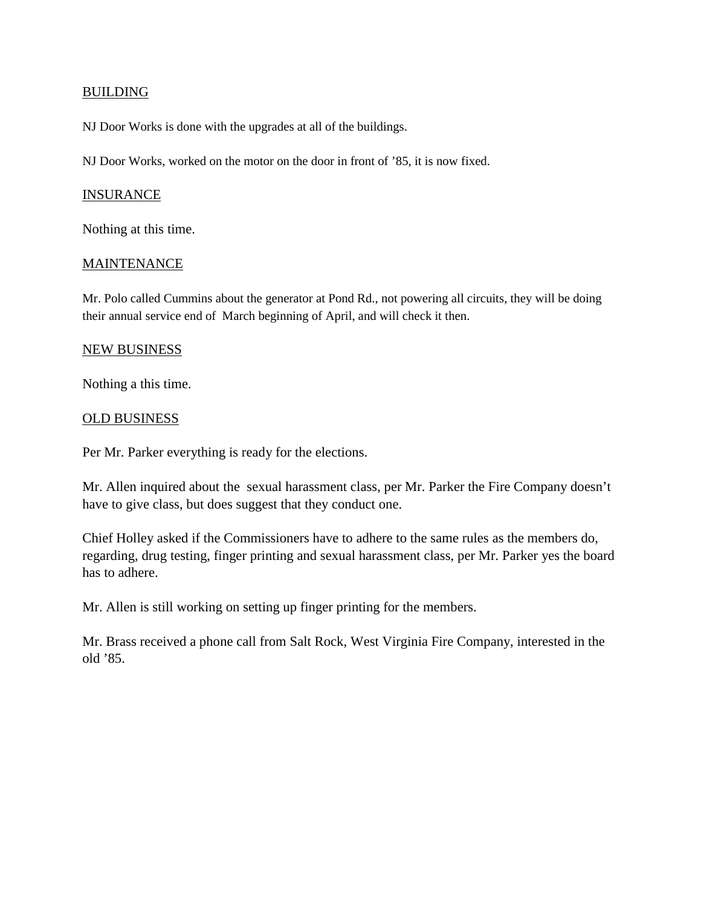# **BUILDING**

NJ Door Works is done with the upgrades at all of the buildings.

NJ Door Works, worked on the motor on the door in front of '85, it is now fixed.

#### **INSURANCE**

Nothing at this time.

### **MAINTENANCE**

Mr. Polo called Cummins about the generator at Pond Rd., not powering all circuits, they will be doing their annual service end of March beginning of April, and will check it then.

### NEW BUSINESS

Nothing a this time.

### OLD BUSINESS

Per Mr. Parker everything is ready for the elections.

Mr. Allen inquired about the sexual harassment class, per Mr. Parker the Fire Company doesn't have to give class, but does suggest that they conduct one.

Chief Holley asked if the Commissioners have to adhere to the same rules as the members do, regarding, drug testing, finger printing and sexual harassment class, per Mr. Parker yes the board has to adhere.

Mr. Allen is still working on setting up finger printing for the members.

Mr. Brass received a phone call from Salt Rock, West Virginia Fire Company, interested in the old '85.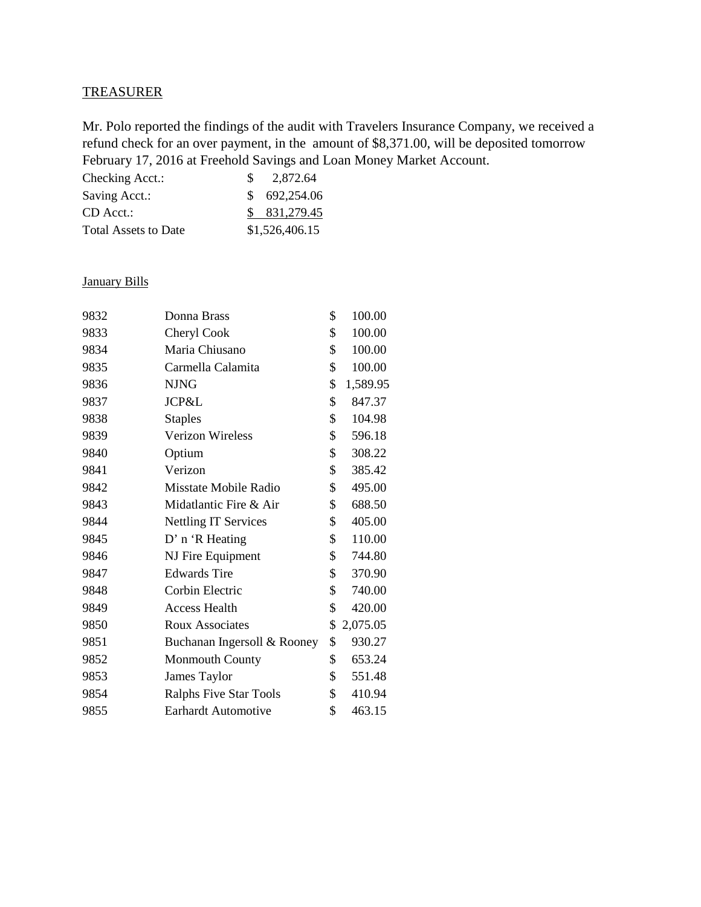# **TREASURER**

Mr. Polo reported the findings of the audit with Travelers Insurance Company, we received a refund check for an over payment, in the amount of \$8,371.00, will be deposited tomorrow February 17, 2016 at Freehold Savings and Loan Money Market Account.

| Checking Acct.:             | 2.872.64       |
|-----------------------------|----------------|
| Saving Acct.:               | \$ 692,254.06  |
| $CD$ Acct.:                 | \$831,279.45   |
| <b>Total Assets to Date</b> | \$1,526,406.15 |

# January Bills

| 9832 | Donna Brass                 | \$<br>100.00   |
|------|-----------------------------|----------------|
| 9833 | Cheryl Cook                 | \$<br>100.00   |
| 9834 | Maria Chiusano              | \$<br>100.00   |
| 9835 | Carmella Calamita           | \$<br>100.00   |
| 9836 | <b>NJNG</b>                 | \$<br>1,589.95 |
| 9837 | JCP&L                       | \$<br>847.37   |
| 9838 | <b>Staples</b>              | \$<br>104.98   |
| 9839 | Verizon Wireless            | \$<br>596.18   |
| 9840 | Optium                      | \$<br>308.22   |
| 9841 | Verizon                     | \$<br>385.42   |
| 9842 | Misstate Mobile Radio       | \$<br>495.00   |
| 9843 | Midatlantic Fire & Air      | \$<br>688.50   |
| 9844 | <b>Nettling IT Services</b> | \$<br>405.00   |
| 9845 | D' n 'R Heating             | \$<br>110.00   |
| 9846 | NJ Fire Equipment           | \$<br>744.80   |
| 9847 | <b>Edwards Tire</b>         | \$<br>370.90   |
| 9848 | Corbin Electric             | \$<br>740.00   |
| 9849 | <b>Access Health</b>        | \$<br>420.00   |
| 9850 | Roux Associates             | \$<br>2,075.05 |
| 9851 | Buchanan Ingersoll & Rooney | \$<br>930.27   |
| 9852 | <b>Monmouth County</b>      | \$<br>653.24   |
| 9853 | James Taylor                | \$<br>551.48   |
| 9854 | Ralphs Five Star Tools      | \$<br>410.94   |
| 9855 | <b>Earhardt Automotive</b>  | \$<br>463.15   |